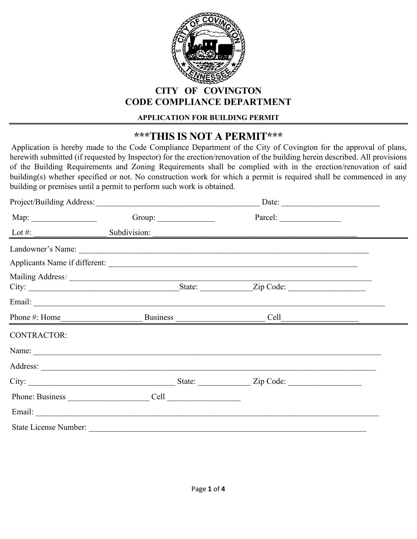

### **CITY OF COVINGTON CODE COMPLIANCE DEPARTMENT**

#### **APPLICATION FOR BUILDING PERMIT**

# **\*\*\*THIS IS NOT A PERMIT\*\*\***

 Application is hereby made to the Code Compliance Department of the City of Covington for the approval of plans, herewith submitted (if requested by Inspector) for the erection/renovation of the building herein described. All provisions of the Building Requirements and Zoning Requirements shall be complied with in the erection/renovation of said building(s) whether specified or not. No construction work for which a permit is required shall be commenced in any building or premises until a permit to perform such work is obtained.

|                    |                                                 | Date: |  |
|--------------------|-------------------------------------------------|-------|--|
|                    | Group: $\qquad \qquad$                          |       |  |
|                    | Lot #: $\_\_\_\_\_\_\_\_\_\_\_\_\$ Subdivision: |       |  |
|                    |                                                 |       |  |
|                    |                                                 |       |  |
|                    |                                                 |       |  |
|                    |                                                 |       |  |
|                    |                                                 |       |  |
| <b>CONTRACTOR:</b> |                                                 |       |  |
|                    |                                                 |       |  |
|                    |                                                 |       |  |
|                    |                                                 |       |  |
|                    |                                                 |       |  |
|                    |                                                 |       |  |
|                    |                                                 |       |  |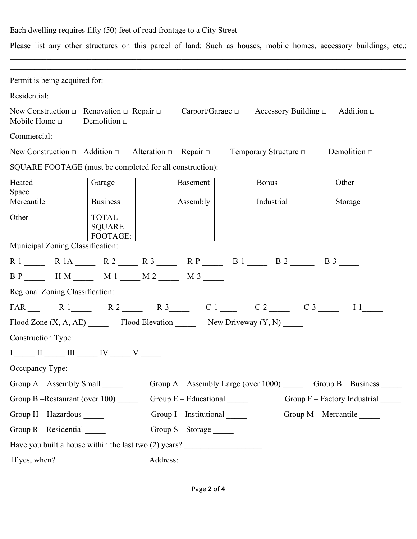### Each dwelling requires fifty (50) feet of road frontage to a City Street

Please list any other structures on this parcel of land: Such as houses, mobile homes, accessory buildings, etc.:

| Permit is being acquired for:                 |  |                                                                                  |                                                                       |  |                            |  |                      |  |
|-----------------------------------------------|--|----------------------------------------------------------------------------------|-----------------------------------------------------------------------|--|----------------------------|--|----------------------|--|
| Residential:                                  |  |                                                                                  |                                                                       |  |                            |  |                      |  |
| Mobile Home $\Box$                            |  | New Construction $\Box$ Renovation $\Box$ Repair $\Box$<br>Demolition $\Box$     | Carport/Garage $\Box$ Accessory Building $\Box$                       |  |                            |  | Addition $\Box$      |  |
| Commercial:                                   |  |                                                                                  |                                                                       |  |                            |  |                      |  |
|                                               |  | New Construction $\Box$ Addition $\Box$ Alteration $\Box$ Repair $\Box$          |                                                                       |  | Temporary Structure $\Box$ |  | Demolition $\Box$    |  |
|                                               |  | SQUARE FOOTAGE (must be completed for all construction):                         |                                                                       |  |                            |  |                      |  |
| Heated<br>Space                               |  | Garage                                                                           | Basement                                                              |  | <b>Bonus</b>               |  | Other                |  |
| Mercantile                                    |  | <b>Business</b>                                                                  | Assembly                                                              |  | Industrial                 |  | Storage              |  |
| Other                                         |  | <b>TOTAL</b><br><b>SQUARE</b><br>FOOTAGE:                                        |                                                                       |  |                            |  |                      |  |
| Municipal Zoning Classification:              |  |                                                                                  |                                                                       |  |                            |  |                      |  |
|                                               |  | $R-1$ $R-1A$ $R-2$ $R-3$ $R-P$ $B-1$ $B-2$ $B-3$ $B-3$                           |                                                                       |  |                            |  |                      |  |
|                                               |  | $B-P$ H-M $M-1$ $M-2$ $M-3$                                                      |                                                                       |  |                            |  |                      |  |
| Regional Zoning Classification:               |  |                                                                                  |                                                                       |  |                            |  |                      |  |
|                                               |  | $FAR$ R-1 R-2 R-2 R-3 C-1 C-2 C-2 C-3                                            |                                                                       |  |                            |  | $I-1$                |  |
|                                               |  | Flood Zone $(X, A, AE)$ Flood Elevation New Driveway $(Y, N)$                    |                                                                       |  |                            |  |                      |  |
| <b>Construction Type:</b>                     |  |                                                                                  |                                                                       |  |                            |  |                      |  |
|                                               |  | $I \_\_\_\$ II $\_\_\$ III $\_\_\$ IV $\_\_\_$ V $\_\_\_\$                       |                                                                       |  |                            |  |                      |  |
| Occupancy Type:                               |  |                                                                                  |                                                                       |  |                            |  |                      |  |
| Group $A -$ Assembly Small $\_\_\_\_\_\_\_\_$ |  |                                                                                  | Group A - Assembly Large (over 1000) _______ Group B - Business _____ |  |                            |  |                      |  |
| Group B-Restaurant (over 100)                 |  | Group $E -$ Educational $\_\_\_\_\_\_\_\_\$<br>Group F - Factory Industrial      |                                                                       |  |                            |  |                      |  |
| Group H - Hazardous _____                     |  |                                                                                  | Group $I$ – Institutional $\_\_\_\_\_\_\_\_\$                         |  |                            |  | Group M - Mercantile |  |
| Group $R - Residental$                        |  |                                                                                  | Group S - Storage ______                                              |  |                            |  |                      |  |
|                                               |  | Have you built a house within the last two (2) years? __________________________ |                                                                       |  |                            |  |                      |  |
|                                               |  | If yes, when?                                                                    |                                                                       |  |                            |  |                      |  |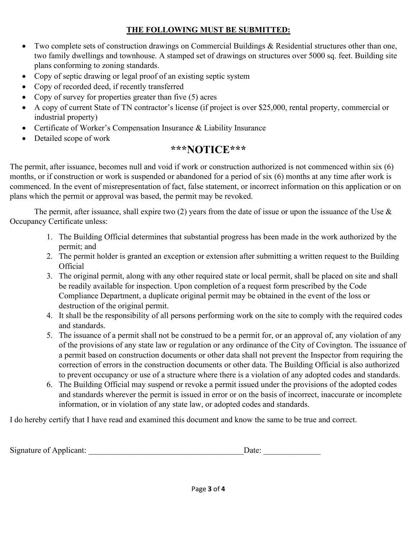### **THE FOLLOWING MUST BE SUBMITTED:**

- Two complete sets of construction drawings on Commercial Buildings & Residential structures other than one, two family dwellings and townhouse. A stamped set of drawings on structures over 5000 sq. feet. Building site plans conforming to zoning standards.
- Copy of septic drawing or legal proof of an existing septic system
- Copy of recorded deed, if recently transferred
- Copy of survey for properties greater than five (5) acres
- A copy of current State of TN contractor's license (if project is over \$25,000, rental property, commercial or industrial property)
- Certificate of Worker's Compensation Insurance & Liability Insurance
- Detailed scope of work

## **\*\*\*NOTICE\*\*\***

The permit, after issuance, becomes null and void if work or construction authorized is not commenced within six (6) months, or if construction or work is suspended or abandoned for a period of six (6) months at any time after work is commenced. In the event of misrepresentation of fact, false statement, or incorrect information on this application or on plans which the permit or approval was based, the permit may be revoked.

The permit, after issuance, shall expire two  $(2)$  years from the date of issue or upon the issuance of the Use  $\&$ Occupancy Certificate unless:

- 1. The Building Official determines that substantial progress has been made in the work authorized by the permit; and
- 2. The permit holder is granted an exception or extension after submitting a written request to the Building **Official**
- 3. The original permit, along with any other required state or local permit, shall be placed on site and shall be readily available for inspection. Upon completion of a request form prescribed by the Code Compliance Department, a duplicate original permit may be obtained in the event of the loss or destruction of the original permit.
- 4. It shall be the responsibility of all persons performing work on the site to comply with the required codes and standards.
- 5. The issuance of a permit shall not be construed to be a permit for, or an approval of, any violation of any of the provisions of any state law or regulation or any ordinance of the City of Covington. The issuance of a permit based on construction documents or other data shall not prevent the Inspector from requiring the correction of errors in the construction documents or other data. The Building Official is also authorized to prevent occupancy or use of a structure where there is a violation of any adopted codes and standards.
- 6. The Building Official may suspend or revoke a permit issued under the provisions of the adopted codes and standards wherever the permit is issued in error or on the basis of incorrect, inaccurate or incomplete information, or in violation of any state law, or adopted codes and standards.

I do hereby certify that I have read and examined this document and know the same to be true and correct.

| Signature of Applicant: |  |  |
|-------------------------|--|--|
|-------------------------|--|--|